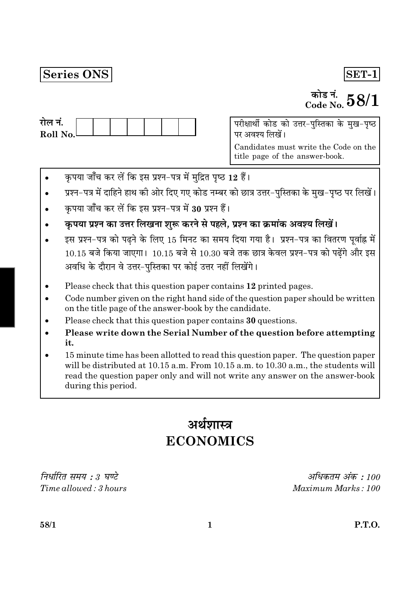# Series ONS

# $|\overline{\text{SET-1}}|$

# कोड नं.<br>Code No.  $58/1$

परीक्षार्थी कोड को उत्तर-पुस्तिका के मुख-पृष्ठ पर अवश्य लिखें।

Candidates must write the Code on the title page of the answer-book.

- कृपया जाँच कर लें कि इस प्रश्न-पत्र में मुद्रित पृष्ठ 12 हैं।
- प्रश्न-पत्र में दाहिने हाथ की ओर दिए गए कोड नम्बर को छात्र उत्तर-पुस्तिका के मुख-पृष्ठ पर लिखें।
- कृपया जाँच कर लें कि इस प्रश्न-पत्र में 30 प्रश्न हैं।
- कृपया प्रश्न का उत्तर लिखना शुरू करने से पहले, प्रश्न का क्रमांक अवश्य लिखें।
- इस प्रश्न-पत्र को पढ़ने के लिए 15 मिनट का समय दिया गया है। प्रश्न-पत्र का वितरण पूर्वाह्न में  $10.15$  बजे किया जाएगा।  $10.15$  बजे से  $10.30$  बजे तक छात्र केवल प्रश्न-पत्र को पढेंगे और इस अवधि के दौरान वे उत्तर-पस्तिका पर कोई उत्तर नहीं लिखेंगे।
- Please check that this question paper contains 12 printed pages.
- Code number given on the right hand side of the question paper should be written on the title page of the answer-book by the candidate.
- Please check that this question paper contains 30 questions.
- Please write down the Serial Number of the question before attempting it.
- 15 minute time has been allotted to read this question paper. The question paper will be distributed at 10.15 a.m. From 10.15 a.m. to 10.30 a.m., the students will read the question paper only and will not write any answer on the answer-book during this period.

# अर्थशास्त्र **ECONOMICS**

निर्धारित समय : ३ घण्टे Time allowed: 3 hours

अधिकतम् अंक : 100 Maximum Marks: 100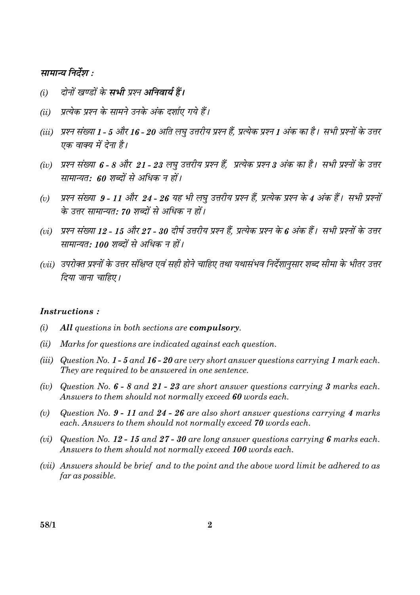#### सामान्य निर्देश :

- दोनों खण्डों के सभी प्रश्न अनिवार्य हैं।  $(i)$
- प्रत्येक प्रश्न के सामने उनके अंक दर्शाए गये हैं।  $(ii)$
- (iii) प्रश्न संख्या 1 5 और 16 20 अति लघु उत्तरीय प्रश्न हैं, प्रत्येक प्रश्न 1 अंक का है। सभी प्रश्नों के उत्तर एक वाक्य में देना है।
- (iv) प्रश्न संख्या 6 8 और 21 23 लघु उत्तरीय प्रश्न हैं, प्रत्येक प्रश्न 3 अंक का है। सभी प्रश्नों के उत्तर सामान्यत: 60 शब्दों से अधिक न हों।
- प्रश्न संख्या 9 11 और 24 26 यह भी लघु उत्तरीय प्रश्न हैं, प्रत्येक प्रश्न के 4 अंक हैं। सभी प्रश्नों  $(v)$ के उत्तर सामान्यत: 70 शब्दों से अधिक न हों।
- (vi) प्रश्न संख्या 12 15 और 27 30 दीर्घ उत्तरीय प्रश्न हैं. प्रत्येक प्रश्न के 6 अंक हैं। सभी प्रश्नों के उत्तर सामान्यत: 100 शब्दों से अधिक न हों।
- (vii) उपरोक्त प्रश्नों के उत्तर संक्षिप्त एवं सही होने चाहिए तथा यथासंभव निर्देशानुसार शब्द सीमा के भीतर उत्तर दिया जाना चाहिए।

#### *Instructions:*

- $(i)$ All questions in both sections are compulsory.
- Marks for questions are indicated against each question.  $(ii)$
- (iii) Question No. 1 5 and 16 20 are very short answer questions carrying 1 mark each. They are required to be answered in one sentence.
- (iv) Question No.  $6 8$  and  $21 23$  are short answer questions carrying 3 marks each. Answers to them should not normally exceed 60 words each.
- Question No.  $9 11$  and  $24 26$  are also short answer questions carrying 4 marks  $(v)$ each. Answers to them should not normally exceed 70 words each.
- (vi) Question No. 12 15 and 27 30 are long answer questions carrying 6 marks each. Answers to them should not normally exceed 100 words each.
- (vii) Answers should be brief and to the point and the above word limit be adhered to as far as possible.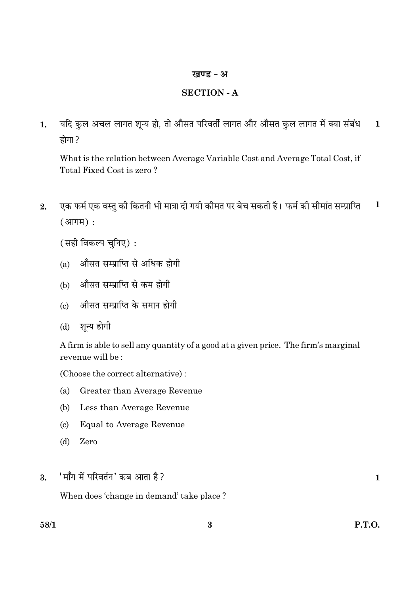#### खण्ड - अ

# **SECTION - A**

यदि कुल अचल लागत शून्य हो, तो औसत परिवर्ती लागत और औसत कुल लागत में क्या संबंध  $\mathbf{1}$  $\mathbf{1}$ . होगा ?

What is the relation between Average Variable Cost and Average Total Cost, if Total Fixed Cost is zero?

एक फर्म एक वस्तु की कितनी भी मात्रा दी गयी कीमत पर बेच सकती है। फर्म की सीमांत सम्प्राप्ति  $\mathbf{1}$  $2.$ (आगम):

(सही विकल्प चनिए):

- (a) औसत सम्प्राप्ति से अधिक होगी
- (b) औसत सम्प्राप्ति से कम होगी
- औसत सम्प्राप्ति के समान होगी  $\left( \mathrm{c}\right)$
- (d) शून्य होगी

A firm is able to sell any quantity of a good at a given price. The firm's marginal revenue will be:

(Choose the correct alternative):

- Greater than Average Revenue  $(a)$
- $(b)$ Less than Average Revenue
- Equal to Average Revenue  $(c)$
- $(d)$ Zero
- 'माँग में परिवर्तन' कब आता है ?  $\overline{3}$ .

When does 'change in demand' take place?

 $\mathbf{1}$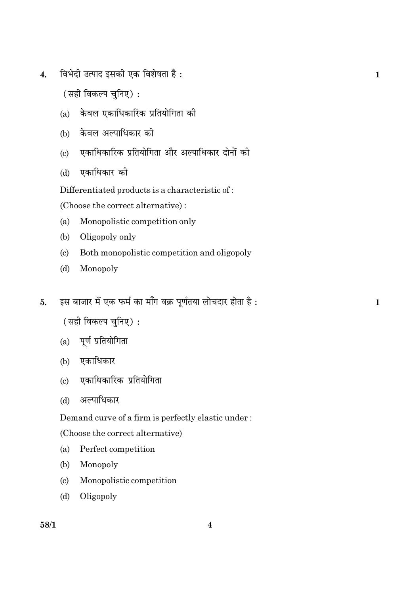विभेदी उत्पाद इसकी एक विशेषता है :  $\overline{4}$ .

(सही विकल्प चुनिए):

- केवल एकाधिकारिक प्रतियोगिता की  $(a)$
- (b) केवल अल्पाधिकार की
- एकाधिकारिक प्रतियोगिता और अल्पाधिकार दोनों की  $\left( \mathrm{c}\right)$
- एकाधिकार की  $(d)$

Differentiated products is a characteristic of:

(Choose the correct alternative):

- $(a)$ Monopolistic competition only
- $(b)$ Oligopoly only
- $(c)$ Both monopolistic competition and oligopoly
- $(d)$ Monopoly
- इस बाजार में एक फर्म का माँग वक्र पूर्णतया लोचदार होता है :  $5<sub>1</sub>$

(सही विकल्प चुनिए):

- $(a)$  पूर्ण प्रतियोगिता
- (b) एकाधिकार
- एकाधिकारिक प्रतियोगिता  $(c)$
- अल्पाधिकार  $(d)$

Demand curve of a firm is perfectly elastic under:

(Choose the correct alternative)

- Perfect competition  $(a)$
- $(b)$ Monopoly
- Monopolistic competition  $(c)$
- Oligopoly  $(d)$

 $\mathbf{1}$ 

 $\mathbf{1}$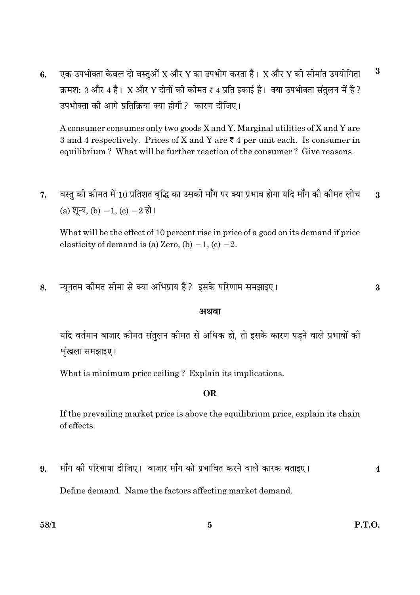$\bf{3}$ एक उपभोक्ता केवल दो वस्तुओं X और Y का उपभोग करता है। X और Y की सीमांत उपयोगिता 6. क्रमश: 3 और 4 है। X और Y दोनों की कीमत ₹ 4 प्रति इकाई है। क्या उपभोक्ता संतुलन में है? उपभोक्ता की आगे प्रतिक्रिया क्या होगी ? कारण दीजिए।

A consumer consumes only two goods X and Y. Marginal utilities of X and Y are 3 and 4 respectively. Prices of X and Y are  $\overline{\zeta}$  4 per unit each. Is consumer in equilibrium? What will be further reaction of the consumer? Give reasons.

वस्तु की कीमत में 10 प्रतिशत वृद्धि का उसकी माँग पर क्या प्रभाव होगा यदि माँग की कीमत लोच 7.  $\bf{3}$ (a) शन्य, (b)  $-1$ , (c)  $-2$  हो।

What will be the effect of 10 percent rise in price of a good on its demand if price elasticity of demand is (a) Zero, (b)  $-1$ , (c)  $-2$ .

न्यूनतम कीमत सीमा से क्या अभिप्राय है? इसके परिणाम समझाइए। 8.

#### अथवा

यदि वर्तमान बाजार कीमत संतुलन कीमत से अधिक हो, तो इसके कारण पडने वाले प्रभावों की शृंखला समझाइए।

What is minimum price ceiling? Explain its implications.

# **OR**

If the prevailing market price is above the equilibrium price, explain its chain of effects.

माँग की परिभाषा दीजिए। बाजार माँग को प्रभावित करने वाले कारक बताइए। 9.  $\overline{\mathbf{4}}$ 

Define demand. Name the factors affecting market demand.

 $\mathbf{3}$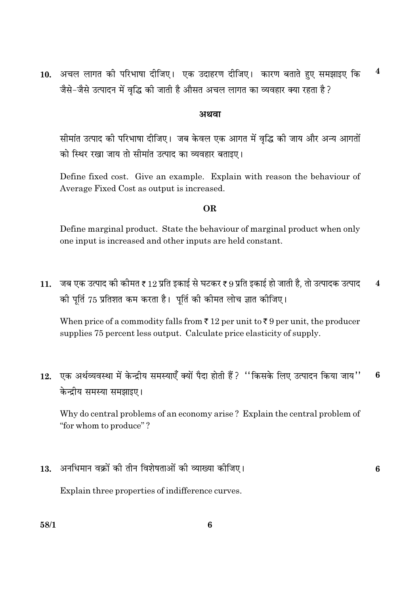$\overline{\mathbf{4}}$ 10. अचल लागत की परिभाषा दीजिए। एक उदाहरण दीजिए। कारण बताते हुए समझाइए कि जैसे-जैसे उत्पादन में वृद्धि की जाती है औसत अचल लागत का व्यवहार क्या रहता है?

#### अथवा

सीमांत उत्पाद की परिभाषा दीजिए। जब केवल एक आगत में वृद्धि की जाय और अन्य आगतों को स्थिर रखा जाय तो सीमांत उत्पाद का व्यवहार बताइए।

Define fixed cost. Give an example. Explain with reason the behaviour of Average Fixed Cost as output is increased.

#### OR.

Define marginal product. State the behaviour of marginal product when only one input is increased and other inputs are held constant.

जब एक उत्पाद की कीमत ₹ 12 प्रति इकाई से घटकर ₹ 9 प्रति इकाई हो जाती है. तो उत्पादक उत्पाद  $11.$  $\overline{4}$ की पूर्ति 75 प्रतिशत कम करता है। पूर्ति की कीमत लोच ज्ञात कीजिए।

When price of a commodity falls from  $\bar{\tau}$  12 per unit to  $\bar{\tau}$  9 per unit, the producer supplies 75 percent less output. Calculate price elasticity of supply.

12. एक अर्थव्यवस्था में केन्द्रीय समस्याएँ क्यों पैदा होती हैं ? ''किसके लिए उत्पादन किया जाय''  $6\phantom{1}6$ केन्द्रीय समस्या समझाइए।

Why do central problems of an economy arise? Explain the central problem of "for whom to produce"?

अनधिमान वक्रों की तीन विशेषताओं की व्याख्या कीजिए।  $13<sub>1</sub>$ 

6

Explain three properties of indifference curves.

 $58/1$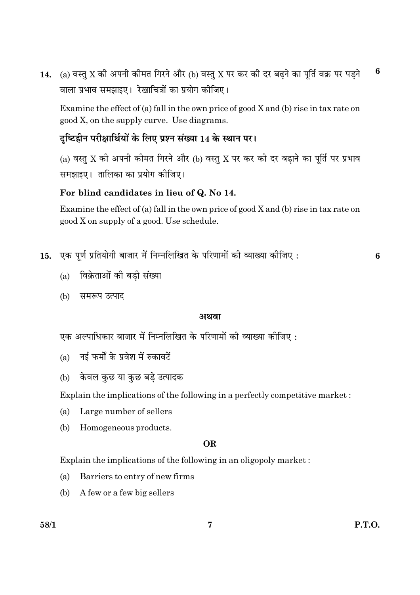(a) वस्तु X की अपनी कीमत गिरने और (b) वस्तु X पर कर की दर बढने का पूर्ति वक्र पर पडने 6  $14.$ वाला प्रभाव समझाइए। रेखाचित्रों का प्रयोग कीजिए।

Examine the effect of (a) fall in the own price of good  $X$  and (b) rise in tax rate on good X, on the supply curve. Use diagrams.

# दृष्टिहीन परीक्षार्थियों के लिए प्रश्न संख्या 14 के स्थान पर।

(a) वस्तु X की अपनी कीमत गिरने और (b) वस्तु X पर कर की दर बढ़ाने का पूर्ति पर प्रभाव समझाइए। तालिका का प्रयोग कीजिए।

# For blind candidates in lieu of Q. No 14.

Examine the effect of (a) fall in the own price of good X and (b) rise in tax rate on good X on supply of a good. Use schedule.

- एक पूर्ण प्रतियोगी बाजार में निम्नलिखित के परिणामों की व्याख्या कीजिए : 15.
	- (a) विक्रेताओं की बडी संख्या
	- (b) समरूप उत्पाद

#### अथवा

एक अल्पाधिकार बाजार में निम्नलिखित के परिणामों की व्याख्या कीजिए :

- (a) नई फर्मों के प्रवेश में रुकावटें
- केवल कुछ या कुछ बडे उत्पादक  $(b)$

Explain the implications of the following in a perfectly competitive market:

- Large number of sellers  $(a)$
- Homogeneous products. (b)

#### **OR**

Explain the implications of the following in an oligopoly market:

- Barriers to entry of new firms  $(a)$
- (b) A few or a few big sellers

6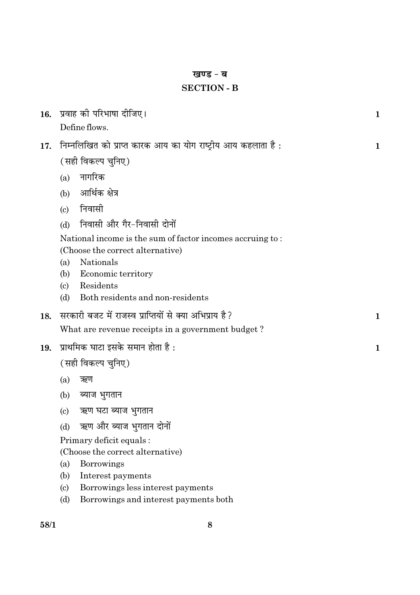# खण्ड - ब

# **SECTION - B**

| 16.  |                                  | प्रवाह को परिभाषा दीजिए।                                     | $\mathbf 1$ |  |  |
|------|----------------------------------|--------------------------------------------------------------|-------------|--|--|
|      |                                  | Define flows.                                                |             |  |  |
| 17.  |                                  | निम्नलिखित को प्राप्त कारक आय का योग राष्ट्रीय आय कहलाता है: | $\mathbf 1$ |  |  |
|      | (सही विकल्प चुनिए)               |                                                              |             |  |  |
|      | (a)                              | नागरिक                                                       |             |  |  |
|      |                                  | (b) आर्थिक क्षेत्र                                           |             |  |  |
|      | $\left( \mathrm{c}\right)$       | निवासी                                                       |             |  |  |
|      | (d)                              | निवासी और गैर-निवासी दोनों                                   |             |  |  |
|      |                                  | National income is the sum of factor incomes accruing to:    |             |  |  |
|      |                                  | (Choose the correct alternative)                             |             |  |  |
|      | (a)<br>(b)                       | Nationals<br>Economic territory                              |             |  |  |
|      | (c)                              | Residents                                                    |             |  |  |
|      | (d)                              | Both residents and non-residents                             |             |  |  |
| 18.  |                                  | सरकारी बजट में राजस्व प्राप्तियों से क्या अभिप्राय है ?      | $\mathbf 1$ |  |  |
|      |                                  | What are revenue receipts in a government budget?            |             |  |  |
| 19.  |                                  | प्राथमिक घाटा इसके समान होता है :                            | $\mathbf 1$ |  |  |
|      | (सही विकल्प चुनिए)               |                                                              |             |  |  |
|      | (a)                              | ऋण                                                           |             |  |  |
|      | (b)                              | ब्याज भुगतान                                                 |             |  |  |
|      | $\left( \mathrm{c}\right)$       | ऋण घटा ब्याज भुगतान                                          |             |  |  |
|      |                                  | (d) ऋण और ब्याज भुगतान दोनों                                 |             |  |  |
|      |                                  | Primary deficit equals:                                      |             |  |  |
|      | (Choose the correct alternative) |                                                              |             |  |  |
|      | (a)                              | Borrowings                                                   |             |  |  |
|      | (b)                              | Interest payments                                            |             |  |  |
|      | $\left( \mathrm{c}\right)$       | Borrowings less interest payments                            |             |  |  |
|      | (d)                              | Borrowings and interest payments both                        |             |  |  |
| 58/1 |                                  | 8                                                            |             |  |  |
|      |                                  |                                                              |             |  |  |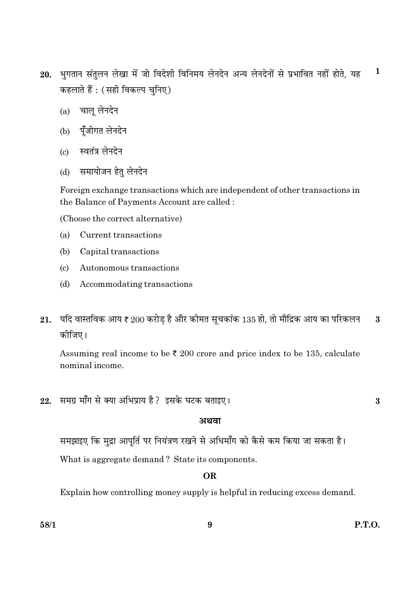- $\mathbf 1$ भुगतान संतुलन लेखा में जो विदेशी विनिमय लेनदेन अन्य लेनदेनों से प्रभावित नहीं होते, यह 20. कहलाते हैं : (सही विकल्प चुनिए)
	- (a) चालू लेनदेन
	- (b) पूँजीगत लेनदेन
	- (c) स्वतंत्र लेनदेन
	- समायोजन हेतु लेनदेन  $(d)$

Foreign exchange transactions which are independent of other transactions in the Balance of Payments Account are called :

(Choose the correct alternative)

- $(a)$ Current transactions
- $(b)$ Capital transactions
- $\left( \mathrm{c}\right)$ Autonomous transactions
- (d) Accommodating transactions
- यदि वास्तविक आय ₹ 200 करोड़ है और कीमत सूचकांक 135 हो, तो मौद्रिक आय का परिकलन 3 21. कोजिए।

Assuming real income to be  $\bar{\tau}$  200 crore and price index to be 135, calculate nominal income.

समग्र माँग से क्या अभिप्राय है ? इसके घटक बताइए। 22

#### अथवा

समझाइए कि मुद्रा आपूर्ति पर नियंत्रण रखने से अधिमाँग को कैसे कम किया जा सकता है।

What is aggregate demand? State its components.

# **OR**

Explain how controlling money supply is helpful in reducing excess demand.

 $\overline{\mathbf{3}}$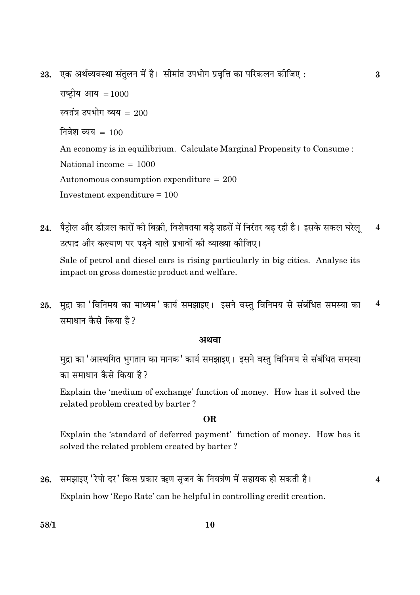एक अर्थव्यवस्था संतुलन में है। सीमांत उपभोग प्रवृत्ति का परिकलन कीजिए : 23.

राष्ट्रीय आय =  $1000$ स्वतंत्र उपभोग व्यय =  $200$ निवेश व्यय =  $100$ An economy is in equilibrium. Calculate Marginal Propensity to Consume : National income  $= 1000$ Autonomous consumption expenditure  $= 200$ Investment expenditure  $= 100$ 

 $\bf{3}$ 

 $\overline{\mathbf{4}}$ 

24. पैटोल और डीज़ल कारों की बिक्री, विशेषतया बडे शहरों में निरंतर बढ रही है। इसके सकल घरेल  $\overline{\mathbf{4}}$ उत्पाद और कल्याण पर पडने वाले प्रभावों की व्याख्या कीजिए।

Sale of petrol and diesel cars is rising particularly in big cities. Analyse its impact on gross domestic product and welfare.

मुद्रा का 'विनिमय का माध्यम' कार्य समझाइए। इसने वस्तु विनिमय से संबंधित समस्या का  $\overline{\mathbf{4}}$ 25. समाधान कैसे किया है?

#### अथवा

मद्रा का 'आस्थगित भगतान का मानक' कार्य समझाइए। इसने वस्त विनिमय से संबंधित समस्या का समाधान कैसे किया है?

Explain the 'medium of exchange' function of money. How has it solved the related problem created by barter?

#### **OR**

Explain the 'standard of deferred payment' function of money. How has it solved the related problem created by barter?

26. समझाइए 'रेपो दर' किस प्रकार ऋण सृजन के नियत्रंण में सहायक हो सकती है। Explain how 'Repo Rate' can be helpful in controlling credit creation.

 $58/1$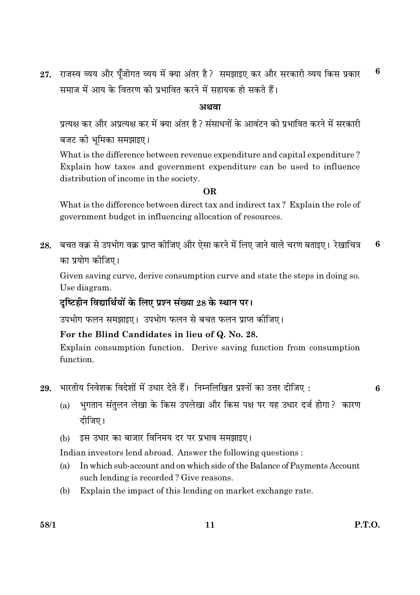राजस्व व्यय और पुँजीगत व्यय में क्या अंतर है? समझाइए कर और सरकारी व्यय किस प्रकार 6 27. समाज में आय के वितरण को प्रभावित करने में सहायक हो सकते हैं।

#### अथवा

प्रत्यक्ष कर और अप्रत्यक्ष कर में क्या अंतर है ? संसाधनों के आवंटन को प्रभावित करने में सरकारी बजट की भूमिका समझाइए।

What is the difference between revenue expenditure and capital expenditure? Explain how taxes and government expenditure can be used to influence distribution of income in the society.

#### OR.

What is the difference between direct tax and indirect tax? Explain the role of government budget in influencing allocation of resources.

28. बचत वक्र से उपभोग वक्र प्राप्त कीजिए और ऐसा करने में लिए जाने वाले चरण बताइए। रेखाचित्र 6 का प्रयोग कीजिए।

Given saving curve, derive consumption curve and state the steps in doing so. Use diagram.

# दृष्टिहीन विद्यार्थियों के लिए प्रश्न संख्या 28 के स्थान पर।

उपभोग फलन समझाइए। उपभोग फलन से बचत फलन प्राप्त कीजिए।

#### For the Blind Candidates in lieu of Q. No. 28.

Explain consumption function. Derive saving function from consumption function.

- भारतीय निवेशक विदेशों में उधार देते हैं। निम्नलिखित प्रश्नों का उत्तर दीजिए: 29.
- 6
- (a) भुगतान संतुलन लेखा के किस उपलेखा और किस पक्ष पर यह उधार दर्ज होगा ? कारण दीजिए।
- इस उधार का बाजार विनिमय दर पर प्रभाव समझाइए। (b)

Indian investors lend abroad. Answer the following questions:

- (a) In which sub-account and on which side of the Balance of Payments Account such lending is recorded? Give reasons.
- (b) Explain the impact of this lending on market exchange rate.